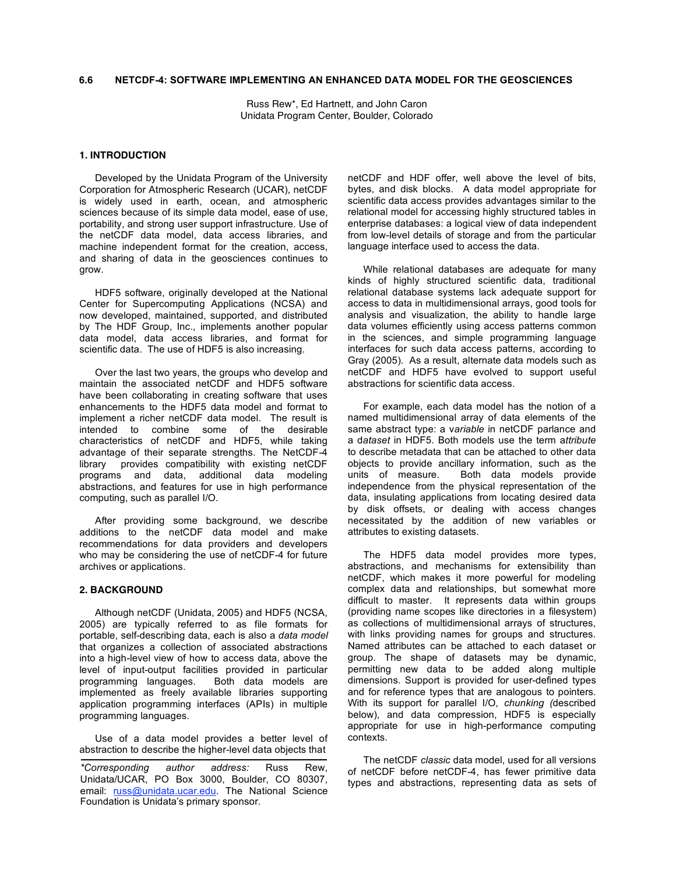# **6.6 NETCDF-4: SOFTWARE IMPLEMENTING AN ENHANCED DATA MODEL FOR THE GEOSCIENCES**

Russ Rew\*, Ed Hartnett, and John Caron Unidata Program Center, Boulder, Colorado

## **1. INTRODUCTION**

Developed by the Unidata Program of the University Corporation for Atmospheric Research (UCAR), netCDF is widely used in earth, ocean, and atmospheric sciences because of its simple data model, ease of use, portability, and strong user support infrastructure. Use of the netCDF data model, data access libraries, and machine independent format for the creation, access, and sharing of data in the geosciences continues to grow.

HDF5 software, originally developed at the National Center for Supercomputing Applications (NCSA) and now developed, maintained, supported, and distributed by The HDF Group, Inc., implements another popular data model, data access libraries, and format for scientific data. The use of HDF5 is also increasing.

Over the last two years, the groups who develop and maintain the associated netCDF and HDF5 software have been collaborating in creating software that uses enhancements to the HDF5 data model and format to implement a richer netCDF data model. The result is intended to combine some of the desirable characteristics of netCDF and HDF5, while taking advantage of their separate strengths. The NetCDF-4 library provides compatibility with existing netCDF programs and data, additional data modeling abstractions, and features for use in high performance computing, such as parallel I/O.

After providing some background, we describe additions to the netCDF data model and make recommendations for data providers and developers who may be considering the use of netCDF-4 for future archives or applications.

# **2. BACKGROUND**

Although netCDF (Unidata, 2005) and HDF5 (NCSA, 2005) are typically referred to as file formats for portable, self-describing data, each is also a *data model* that organizes a collection of associated abstractions into a high-level view of how to access data, above the level of input-output facilities provided in particular programming languages. Both data models are implemented as freely available libraries supporting application programming interfaces (APIs) in multiple programming languages.

Use of a data model provides a better level of abstraction to describe the higher-level data objects that

netCDF and HDF offer, well above the level of bits, bytes, and disk blocks. A data model appropriate for scientific data access provides advantages similar to the relational model for accessing highly structured tables in enterprise databases: a logical view of data independent from low-level details of storage and from the particular language interface used to access the data.

While relational databases are adequate for many kinds of highly structured scientific data, traditional relational database systems lack adequate support for access to data in multidimensional arrays, good tools for analysis and visualization, the ability to handle large data volumes efficiently using access patterns common in the sciences, and simple programming language interfaces for such data access patterns, according to Gray (2005). As a result, alternate data models such as netCDF and HDF5 have evolved to support useful abstractions for scientific data access.

For example, each data model has the notion of a named multidimensional array of data elements of the same abstract type: a v*ariable* in netCDF parlance and a d*ataset* in HDF5. Both models use the term a*ttribute* to describe metadata that can be attached to other data objects to provide ancillary information, such as the units of measure. Both data models provide independence from the physical representation of the data, insulating applications from locating desired data by disk offsets, or dealing with access changes necessitated by the addition of new variables or attributes to existing datasets.

The HDF5 data model provides more types, abstractions, and mechanisms for extensibility than netCDF, which makes it more powerful for modeling complex data and relationships, but somewhat more difficult to master. It represents data within groups (providing name scopes like directories in a filesystem) as collections of multidimensional arrays of structures, with links providing names for groups and structures. Named attributes can be attached to each dataset or group. The shape of datasets may be dynamic, permitting new data to be added along multiple dimensions. Support is provided for user-defined types and for reference types that are analogous to pointers. With its support for parallel I/O, *chunking (*described below), and data compression, HDF5 is especially appropriate for use in high-performance computing contexts.

The netCDF *classic* data model, used for all versions of netCDF before netCDF-4, has fewer primitive data types and abstractions, representing data as sets of

*<sup>\*</sup>Corresponding author address:* Russ Rew, Unidata/UCAR, PO Box 3000, Boulder, CO 80307, email: russ@unidata.ucar.edu. The National Science Foundation is Unidata's primary sponsor.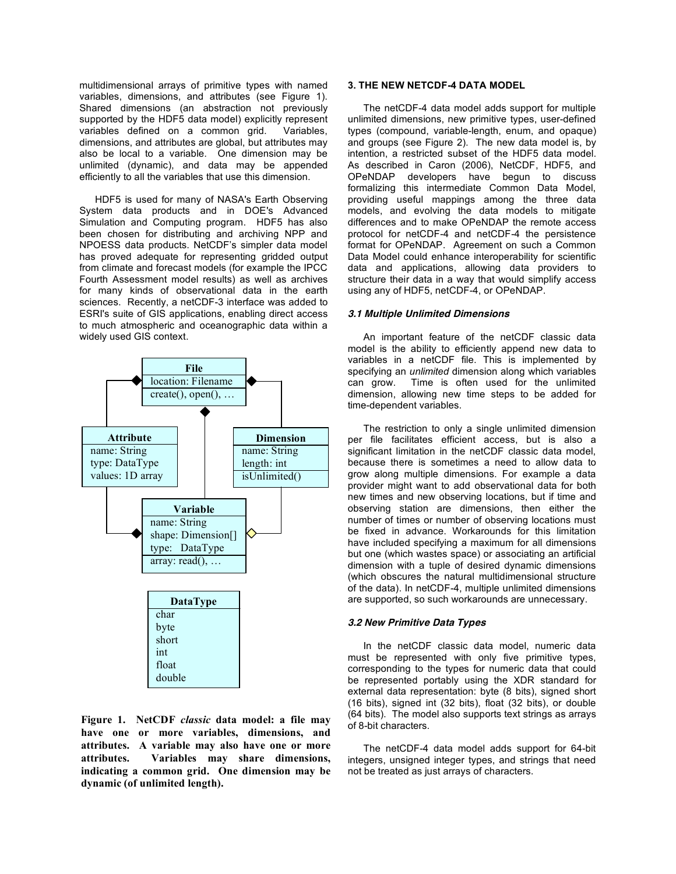multidimensional arrays of primitive types with named variables, dimensions, and attributes (see Figure 1). Shared dimensions (an abstraction not previously supported by the HDF5 data model) explicitly represent variables defined on a common grid. Variables, dimensions, and attributes are global, but attributes may also be local to a variable. One dimension may be unlimited (dynamic), and data may be appended efficiently to all the variables that use this dimension.

HDF5 is used for many of NASA's Earth Observing System data products and in DOE's Advanced Simulation and Computing program. HDF5 has also been chosen for distributing and archiving NPP and NPOESS data products. NetCDF's simpler data model has proved adequate for representing gridded output from climate and forecast models (for example the IPCC Fourth Assessment model results) as well as archives for many kinds of observational data in the earth sciences. Recently, a netCDF-3 interface was added to ESRI's suite of GIS applications, enabling direct access to much atmospheric and oceanographic data within a widely used GIS context.



**Figure 1. NetCDF** *classic* **data model: a file may have one or more variables, dimensions, and attributes. A variable may also have one or more attributes. Variables may share dimensions, indicating a common grid. One dimension may be dynamic (of unlimited length).**

# **3. THE NEW NETCDF-4 DATA MODEL**

The netCDF-4 data model adds support for multiple unlimited dimensions, new primitive types, user-defined types (compound, variable-length, enum, and opaque) and groups (see Figure 2). The new data model is, by intention, a restricted subset of the HDF5 data model. As described in Caron (2006), NetCDF, HDF5, and OPeNDAP developers have begun to discuss formalizing this intermediate Common Data Model, providing useful mappings among the three data models, and evolving the data models to mitigate differences and to make OPeNDAP the remote access protocol for netCDF-4 and netCDF-4 the persistence format for OPeNDAP. Agreement on such a Common Data Model could enhance interoperability for scientific data and applications, allowing data providers to structure their data in a way that would simplify access using any of HDF5, netCDF-4, or OPeNDAP.

# **3.1 Multiple Unlimited Dimensions**

An important feature of the netCDF classic data model is the ability to efficiently append new data to variables in a netCDF file. This is implemented by specifying an *unlimited* dimension along which variables can grow. Time is often used for the unlimited dimension, allowing new time steps to be added for time-dependent variables.

The restriction to only a single unlimited dimension per file facilitates efficient access, but is also a significant limitation in the netCDF classic data model, because there is sometimes a need to allow data to grow along multiple dimensions. For example a data provider might want to add observational data for both new times and new observing locations, but if time and observing station are dimensions, then either the number of times or number of observing locations must be fixed in advance. Workarounds for this limitation have included specifying a maximum for all dimensions but one (which wastes space) or associating an artificial dimension with a tuple of desired dynamic dimensions (which obscures the natural multidimensional structure of the data). In netCDF-4, multiple unlimited dimensions are supported, so such workarounds are unnecessary.

# **3.2 New Primitive Data Types**

In the netCDF classic data model, numeric data must be represented with only five primitive types, corresponding to the types for numeric data that could be represented portably using the XDR standard for external data representation: byte (8 bits), signed short (16 bits), signed int (32 bits), float (32 bits), or double (64 bits). The model also supports text strings as arrays of 8-bit characters.

The netCDF-4 data model adds support for 64-bit integers, unsigned integer types, and strings that need not be treated as just arrays of characters.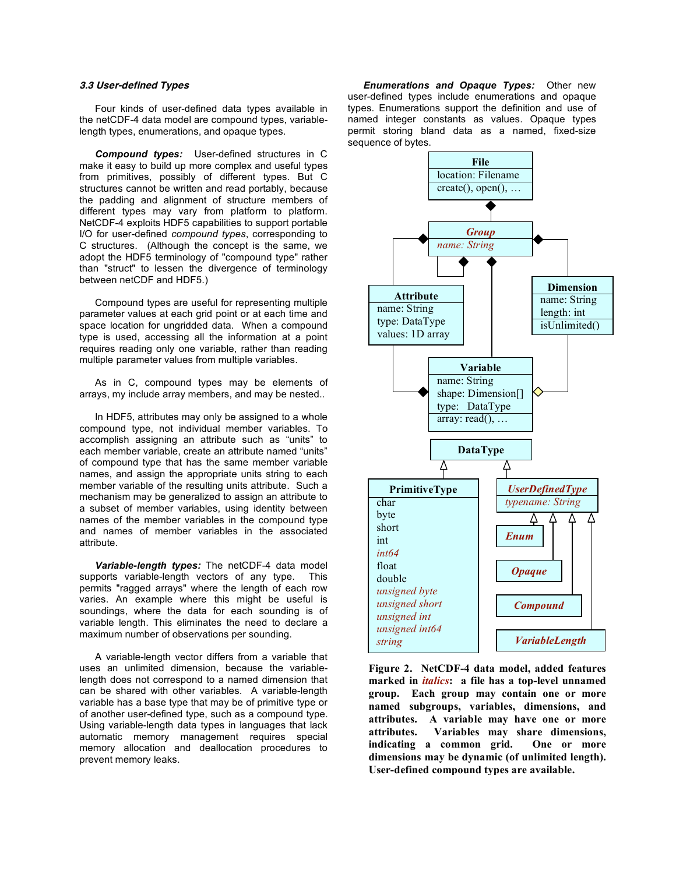# **3.3 User-defined Types**

Four kinds of user-defined data types available in the netCDF-4 data model are compound types, variablelength types, enumerations, and opaque types.

*Compound types:* User-defined structures in C make it easy to build up more complex and useful types from primitives, possibly of different types. But C structures cannot be written and read portably, because the padding and alignment of structure members of different types may vary from platform to platform. NetCDF-4 exploits HDF5 capabilities to support portable I/O for user-defined *compound types*, corresponding to C structures. (Although the concept is the same, we adopt the HDF5 terminology of "compound type" rather than "struct" to lessen the divergence of terminology between netCDF and HDF5.)

Compound types are useful for representing multiple parameter values at each grid point or at each time and space location for ungridded data. When a compound type is used, accessing all the information at a point requires reading only one variable, rather than reading multiple parameter values from multiple variables.

As in C, compound types may be elements of arrays, my include array members, and may be nested..

In HDF5, attributes may only be assigned to a whole compound type, not individual member variables. To accomplish assigning an attribute such as "units" to each member variable, create an attribute named "units" of compound type that has the same member variable names, and assign the appropriate units string to each member variable of the resulting units attribute. Such a mechanism may be generalized to assign an attribute to a subset of member variables, using identity between names of the member variables in the compound type and names of member variables in the associated attribute.

*Variable-length types:* The netCDF-4 data model supports variable-length vectors of any type. This permits "ragged arrays" where the length of each row varies. An example where this might be useful is soundings, where the data for each sounding is of variable length. This eliminates the need to declare a maximum number of observations per sounding.

A variable-length vector differs from a variable that uses an unlimited dimension, because the variablelength does not correspond to a named dimension that can be shared with other variables. A variable-length variable has a base type that may be of primitive type or of another user-defined type, such as a compound type. Using variable-length data types in languages that lack automatic memory management requires special memory allocation and deallocation procedures to prevent memory leaks.

*Enumerations and Opaque Types:* Other new user-defined types include enumerations and opaque types. Enumerations support the definition and use of named integer constants as values. Opaque types permit storing bland data as a named, fixed-size sequence of bytes.



**Figure 2. NetCDF-4 data model, added features marked in** *italics***: a file has a top-level unnamed group. Each group may contain one or more named subgroups, variables, dimensions, and attributes. A variable may have one or more attributes. Variables may share dimensions, indicating a common grid. One or more dimensions may be dynamic (of unlimited length). User-defined compound types are available.**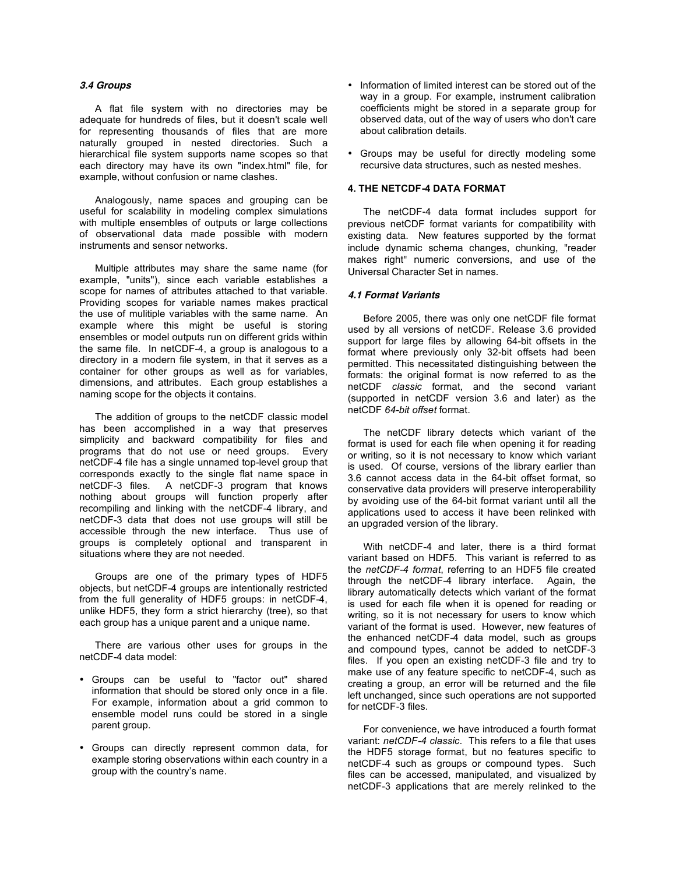## **3.4 Groups**

A flat file system with no directories may be adequate for hundreds of files, but it doesn't scale well for representing thousands of files that are more naturally grouped in nested directories. Such a hierarchical file system supports name scopes so that each directory may have its own "index.html" file, for example, without confusion or name clashes.

Analogously, name spaces and grouping can be useful for scalability in modeling complex simulations with multiple ensembles of outputs or large collections of observational data made possible with modern instruments and sensor networks.

Multiple attributes may share the same name (for example, "units"), since each variable establishes a scope for names of attributes attached to that variable. Providing scopes for variable names makes practical the use of mulitiple variables with the same name. An example where this might be useful is storing ensembles or model outputs run on different grids within the same file. In netCDF-4, a group is analogous to a directory in a modern file system, in that it serves as a container for other groups as well as for variables, dimensions, and attributes. Each group establishes a naming scope for the objects it contains.

The addition of groups to the netCDF classic model has been accomplished in a way that preserves simplicity and backward compatibility for files and programs that do not use or need groups. Every netCDF-4 file has a single unnamed top-level group that corresponds exactly to the single flat name space in netCDF-3 files. A netCDF-3 program that knows nothing about groups will function properly after recompiling and linking with the netCDF-4 library, and netCDF-3 data that does not use groups will still be accessible through the new interface. Thus use of groups is completely optional and transparent in situations where they are not needed.

Groups are one of the primary types of HDF5 objects, but netCDF-4 groups are intentionally restricted from the full generality of HDF5 groups: in netCDF-4, unlike HDF5, they form a strict hierarchy (tree), so that each group has a unique parent and a unique name.

There are various other uses for groups in the netCDF-4 data model:

- Groups can be useful to "factor out" shared information that should be stored only once in a file. For example, information about a grid common to ensemble model runs could be stored in a single parent group.
- Groups can directly represent common data, for example storing observations within each country in a group with the country's name.
- Information of limited interest can be stored out of the way in a group. For example, instrument calibration coefficients might be stored in a separate group for observed data, out of the way of users who don't care about calibration details.
- Groups may be useful for directly modeling some recursive data structures, such as nested meshes.

# **4. THE NETCDF-4 DATA FORMAT**

The netCDF-4 data format includes support for previous netCDF format variants for compatibility with existing data. New features supported by the format include dynamic schema changes, chunking, "reader makes right" numeric conversions, and use of the Universal Character Set in names.

## **4.1 Format Variants**

Before 2005, there was only one netCDF file format used by all versions of netCDF. Release 3.6 provided support for large files by allowing 64-bit offsets in the format where previously only 32-bit offsets had been permitted. This necessitated distinguishing between the formats: the original format is now referred to as the netCDF *classic* format, and the second variant (supported in netCDF version 3.6 and later) as the netCDF *64-bit offset* format.

The netCDF library detects which variant of the format is used for each file when opening it for reading or writing, so it is not necessary to know which variant is used. Of course, versions of the library earlier than 3.6 cannot access data in the 64-bit offset format, so conservative data providers will preserve interoperability by avoiding use of the 64-bit format variant until all the applications used to access it have been relinked with an upgraded version of the library.

With netCDF-4 and later, there is a third format variant based on HDF5. This variant is referred to as the *netCDF-4 format*, referring to an HDF5 file created through the netCDF-4 library interface. Again, the library automatically detects which variant of the format is used for each file when it is opened for reading or writing, so it is not necessary for users to know which variant of the format is used. However, new features of the enhanced netCDF-4 data model, such as groups and compound types, cannot be added to netCDF-3 files. If you open an existing netCDF-3 file and try to make use of any feature specific to netCDF-4, such as creating a group, an error will be returned and the file left unchanged, since such operations are not supported for netCDF-3 files.

For convenience, we have introduced a fourth format variant: *netCDF-4 classic*. This refers to a file that uses the HDF5 storage format, but no features specific to netCDF-4 such as groups or compound types. Such files can be accessed, manipulated, and visualized by netCDF-3 applications that are merely relinked to the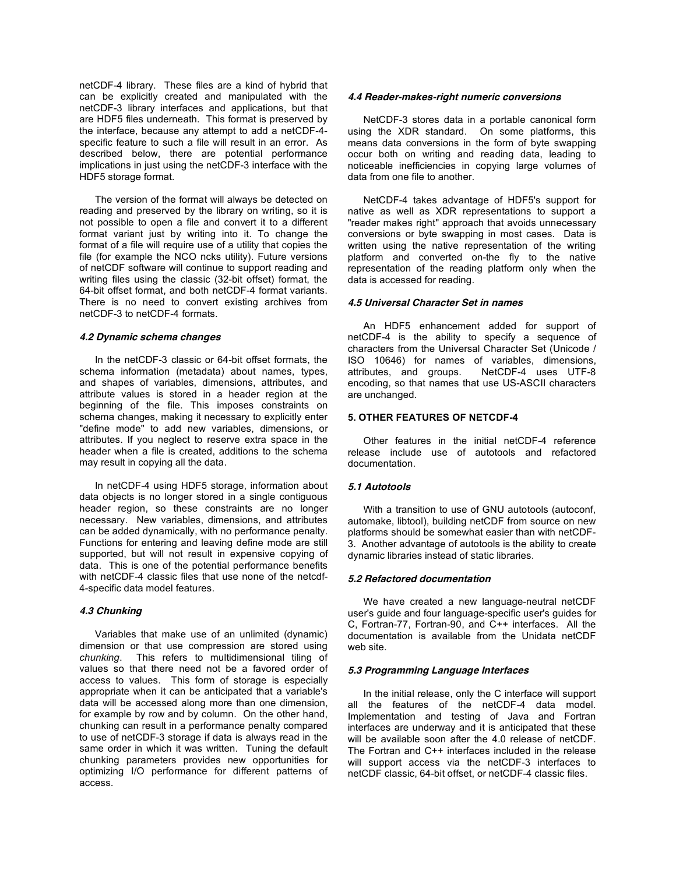netCDF-4 library. These files are a kind of hybrid that can be explicitly created and manipulated with the netCDF-3 library interfaces and applications, but that are HDF5 files underneath. This format is preserved by the interface, because any attempt to add a netCDF-4 specific feature to such a file will result in an error. As described below, there are potential performance implications in just using the netCDF-3 interface with the HDF5 storage format.

The version of the format will always be detected on reading and preserved by the library on writing, so it is not possible to open a file and convert it to a different format variant just by writing into it. To change the format of a file will require use of a utility that copies the file (for example the NCO ncks utility). Future versions of netCDF software will continue to support reading and writing files using the classic (32-bit offset) format, the 64-bit offset format, and both netCDF-4 format variants. There is no need to convert existing archives from netCDF-3 to netCDF-4 formats.

### **4.2 Dynamic schema changes**

In the netCDF-3 classic or 64-bit offset formats, the schema information (metadata) about names, types, and shapes of variables, dimensions, attributes, and attribute values is stored in a header region at the beginning of the file. This imposes constraints on schema changes, making it necessary to explicitly enter "define mode" to add new variables, dimensions, or attributes. If you neglect to reserve extra space in the header when a file is created, additions to the schema may result in copying all the data.

In netCDF-4 using HDF5 storage, information about data objects is no longer stored in a single contiguous header region, so these constraints are no longer necessary. New variables, dimensions, and attributes can be added dynamically, with no performance penalty. Functions for entering and leaving define mode are still supported, but will not result in expensive copying of data. This is one of the potential performance benefits with netCDF-4 classic files that use none of the netcdf-4-specific data model features.

## **4.3 Chunking**

Variables that make use of an unlimited (dynamic) dimension or that use compression are stored using *chunking*. This refers to multidimensional tiling of values so that there need not be a favored order of access to values. This form of storage is especially appropriate when it can be anticipated that a variable's data will be accessed along more than one dimension, for example by row and by column. On the other hand, chunking can result in a performance penalty compared to use of netCDF-3 storage if data is always read in the same order in which it was written. Tuning the default chunking parameters provides new opportunities for optimizing I/O performance for different patterns of access.

### **4.4 Reader-makes-right numeric conversions**

NetCDF-3 stores data in a portable canonical form using the XDR standard. On some platforms, this means data conversions in the form of byte swapping occur both on writing and reading data, leading to noticeable inefficiencies in copying large volumes of data from one file to another.

NetCDF-4 takes advantage of HDF5's support for native as well as XDR representations to support a "reader makes right" approach that avoids unnecessary conversions or byte swapping in most cases. Data is written using the native representation of the writing platform and converted on-the fly to the native representation of the reading platform only when the data is accessed for reading.

## **4.5 Universal Character Set in names**

An HDF5 enhancement added for support of netCDF-4 is the ability to specify a sequence of characters from the Universal Character Set (Unicode / ISO 10646) for names of variables, dimensions, attributes, and groups. NetCDF-4 uses UTF-8 NetCDF-4 uses UTF-8 encoding, so that names that use US-ASCII characters are unchanged.

### **5. OTHER FEATURES OF NETCDF-4**

Other features in the initial netCDF-4 reference release include use of autotools and refactored documentation.

## **5.1 Autotools**

With a transition to use of GNU autotools (autoconf, automake, libtool), building netCDF from source on new platforms should be somewhat easier than with netCDF-3. Another advantage of autotools is the ability to create dynamic libraries instead of static libraries.

#### **5.2 Refactored documentation**

We have created a new language-neutral netCDF user's guide and four language-specific user's guides for C, Fortran-77, Fortran-90, and C++ interfaces. All the documentation is available from the Unidata netCDF web site.

### **5.3 Programming Language Interfaces**

In the initial release, only the C interface will support all the features of the netCDF-4 data model. Implementation and testing of Java and Fortran interfaces are underway and it is anticipated that these will be available soon after the 4.0 release of netCDF. The Fortran and C++ interfaces included in the release will support access via the netCDF-3 interfaces to netCDF classic, 64-bit offset, or netCDF-4 classic files.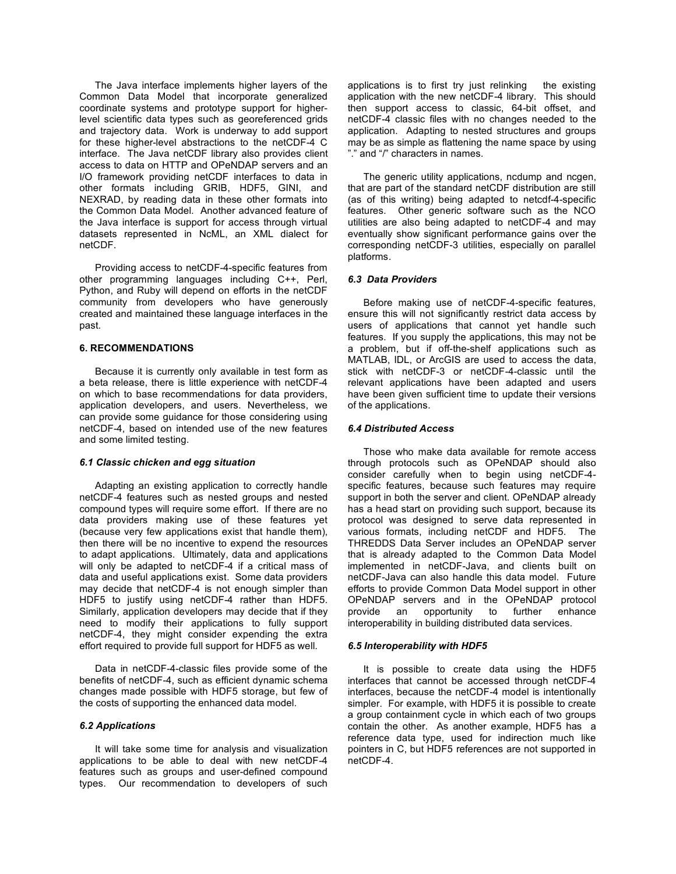The Java interface implements higher layers of the Common Data Model that incorporate generalized coordinate systems and prototype support for higherlevel scientific data types such as georeferenced grids and trajectory data. Work is underway to add support for these higher-level abstractions to the netCDF-4 C interface. The Java netCDF library also provides client access to data on HTTP and OPeNDAP servers and an I/O framework providing netCDF interfaces to data in other formats including GRIB, HDF5, GINI, and NEXRAD, by reading data in these other formats into the Common Data Model. Another advanced feature of the Java interface is support for access through virtual datasets represented in NcML, an XML dialect for netCDF.

Providing access to netCDF-4-specific features from other programming languages including C++, Perl, Python, and Ruby will depend on efforts in the netCDF community from developers who have generously created and maintained these language interfaces in the past.

# **6. RECOMMENDATIONS**

Because it is currently only available in test form as a beta release, there is little experience with netCDF-4 on which to base recommendations for data providers, application developers, and users. Nevertheless, we can provide some guidance for those considering using netCDF-4, based on intended use of the new features and some limited testing.

## *6.1 Classic chicken and egg situation*

Adapting an existing application to correctly handle netCDF-4 features such as nested groups and nested compound types will require some effort. If there are no data providers making use of these features yet (because very few applications exist that handle them), then there will be no incentive to expend the resources to adapt applications. Ultimately, data and applications will only be adapted to netCDF-4 if a critical mass of data and useful applications exist. Some data providers may decide that netCDF-4 is not enough simpler than HDF5 to justify using netCDF-4 rather than HDF5. Similarly, application developers may decide that if they need to modify their applications to fully support netCDF-4, they might consider expending the extra effort required to provide full support for HDF5 as well.

Data in netCDF-4-classic files provide some of the benefits of netCDF-4, such as efficient dynamic schema changes made possible with HDF5 storage, but few of the costs of supporting the enhanced data model.

# *6.2 Applications*

It will take some time for analysis and visualization applications to be able to deal with new netCDF-4 features such as groups and user-defined compound types. Our recommendation to developers of such

applications is to first try just relinking the existing application with the new netCDF-4 library. This should then support access to classic, 64-bit offset, and netCDF-4 classic files with no changes needed to the application. Adapting to nested structures and groups may be as simple as flattening the name space by using "." and "/" characters in names.

The generic utility applications, ncdump and ncgen, that are part of the standard netCDF distribution are still (as of this writing) being adapted to netcdf-4-specific features. Other generic software such as the NCO utilities are also being adapted to netCDF-4 and may eventually show significant performance gains over the corresponding netCDF-3 utilities, especially on parallel platforms.

## *6.3 Data Providers*

Before making use of netCDF-4-specific features, ensure this will not significantly restrict data access by users of applications that cannot yet handle such features. If you supply the applications, this may not be a problem, but if off-the-shelf applications such as MATLAB, IDL, or ArcGIS are used to access the data, stick with netCDF-3 or netCDF-4-classic until the relevant applications have been adapted and users have been given sufficient time to update their versions of the applications.

### *6.4 Distributed Access*

Those who make data available for remote access through protocols such as OPeNDAP should also consider carefully when to begin using netCDF-4 specific features, because such features may require support in both the server and client. OPeNDAP already has a head start on providing such support, because its protocol was designed to serve data represented in various formats, including netCDF and HDF5. The THREDDS Data Server includes an OPeNDAP server that is already adapted to the Common Data Model implemented in netCDF-Java, and clients built on netCDF-Java can also handle this data model. Future efforts to provide Common Data Model support in other OPeNDAP servers and in the OPeNDAP protocol provide an opportunity to further enhance interoperability in building distributed data services.

#### *6.5 Interoperability with HDF5*

It is possible to create data using the HDF5 interfaces that cannot be accessed through netCDF-4 interfaces, because the netCDF-4 model is intentionally simpler. For example, with HDF5 it is possible to create a group containment cycle in which each of two groups contain the other. As another example, HDF5 has a reference data type, used for indirection much like pointers in C, but HDF5 references are not supported in netCDF-4.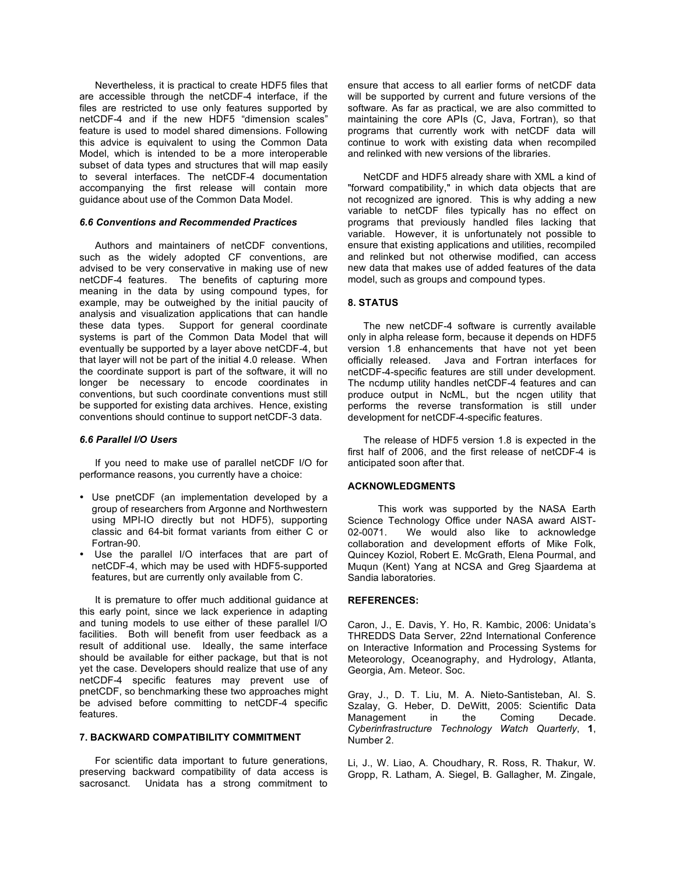Nevertheless, it is practical to create HDF5 files that are accessible through the netCDF-4 interface, if the files are restricted to use only features supported by netCDF-4 and if the new HDF5 "dimension scales" feature is used to model shared dimensions. Following this advice is equivalent to using the Common Data Model, which is intended to be a more interoperable subset of data types and structures that will map easily to several interfaces. The netCDF-4 documentation accompanying the first release will contain more guidance about use of the Common Data Model.

## *6.6 Conventions and Recommended Practices*

Authors and maintainers of netCDF conventions, such as the widely adopted CF conventions, are advised to be very conservative in making use of new netCDF-4 features. The benefits of capturing more meaning in the data by using compound types, for example, may be outweighed by the initial paucity of analysis and visualization applications that can handle these data types. Support for general coordinate systems is part of the Common Data Model that will eventually be supported by a layer above netCDF-4, but that layer will not be part of the initial 4.0 release. When the coordinate support is part of the software, it will no longer be necessary to encode coordinates in conventions, but such coordinate conventions must still be supported for existing data archives. Hence, existing conventions should continue to support netCDF-3 data.

## *6.6 Parallel I/O Users*

If you need to make use of parallel netCDF I/O for performance reasons, you currently have a choice:

- Use pnetCDF (an implementation developed by a group of researchers from Argonne and Northwestern using MPI-IO directly but not HDF5), supporting classic and 64-bit format variants from either C or Fortran-90.
- Use the parallel I/O interfaces that are part of netCDF-4, which may be used with HDF5-supported features, but are currently only available from C.

It is premature to offer much additional guidance at this early point, since we lack experience in adapting and tuning models to use either of these parallel I/O facilities. Both will benefit from user feedback as a result of additional use. Ideally, the same interface should be available for either package, but that is not yet the case. Developers should realize that use of any netCDF-4 specific features may prevent use of pnetCDF, so benchmarking these two approaches might be advised before committing to netCDF-4 specific features.

### **7. BACKWARD COMPATIBILITY COMMITMENT**

For scientific data important to future generations, preserving backward compatibility of data access is sacrosanct. Unidata has a strong commitment to

ensure that access to all earlier forms of netCDF data will be supported by current and future versions of the software. As far as practical, we are also committed to maintaining the core APIs (C, Java, Fortran), so that programs that currently work with netCDF data will continue to work with existing data when recompiled and relinked with new versions of the libraries.

NetCDF and HDF5 already share with XML a kind of "forward compatibility," in which data objects that are not recognized are ignored. This is why adding a new variable to netCDF files typically has no effect on programs that previously handled files lacking that variable. However, it is unfortunately not possible to ensure that existing applications and utilities, recompiled and relinked but not otherwise modified, can access new data that makes use of added features of the data model, such as groups and compound types.

## **8. STATUS**

The new netCDF-4 software is currently available only in alpha release form, because it depends on HDF5 version 1.8 enhancements that have not yet been officially released. Java and Fortran interfaces for netCDF-4-specific features are still under development. The ncdump utility handles netCDF-4 features and can produce output in NcML, but the ncgen utility that performs the reverse transformation is still under development for netCDF-4-specific features.

The release of HDF5 version 1.8 is expected in the first half of 2006, and the first release of netCDF-4 is anticipated soon after that.

## **ACKNOWLEDGMENTS**

This work was supported by the NASA Earth Science Technology Office under NASA award AIST-02-0071. We would also like to acknowledge collaboration and development efforts of Mike Folk, Quincey Koziol, Robert E. McGrath, Elena Pourmal, and Muqun (Kent) Yang at NCSA and Greg Sjaardema at Sandia laboratories.

## **REFERENCES:**

Caron, J., E. Davis, Y. Ho, R. Kambic, 2006: Unidata's THREDDS Data Server, 22nd International Conference on Interactive Information and Processing Systems for Meteorology, Oceanography, and Hydrology, Atlanta, Georgia, Am. Meteor. Soc.

Gray, J., D. T. Liu, M. A. Nieto-Santisteban, Al. S. Szalay, G. Heber, D. DeWitt, 2005: Scientific Data<br>Management in the Coming Decade. Management in the Coming Decade. *Cyberinfrastructure Technology Watch Quarterly*, **1**, Number 2.

Li, J., W. Liao, A. Choudhary, R. Ross, R. Thakur, W. Gropp, R. Latham, A. Siegel, B. Gallagher, M. Zingale,